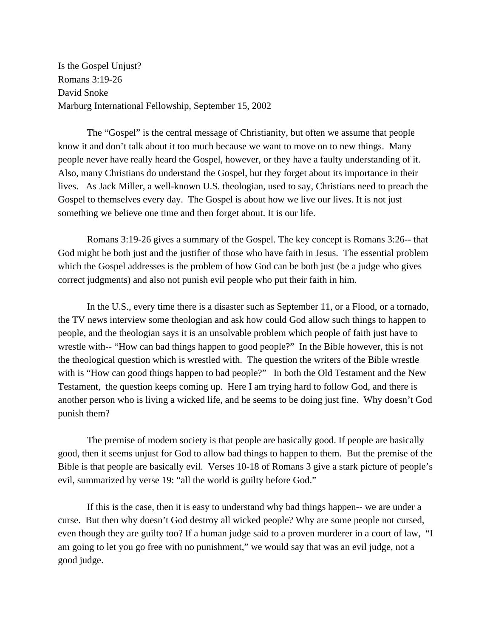Is the Gospel Unjust? Romans 3:19-26 David Snoke Marburg International Fellowship, September 15, 2002

The "Gospel" is the central message of Christianity, but often we assume that people know it and don't talk about it too much because we want to move on to new things. Many people never have really heard the Gospel, however, or they have a faulty understanding of it. Also, many Christians do understand the Gospel, but they forget about its importance in their lives. As Jack Miller, a well-known U.S. theologian, used to say, Christians need to preach the Gospel to themselves every day. The Gospel is about how we live our lives. It is not just something we believe one time and then forget about. It is our life.

Romans 3:19-26 gives a summary of the Gospel. The key concept is Romans 3:26-- that God might be both just and the justifier of those who have faith in Jesus. The essential problem which the Gospel addresses is the problem of how God can be both just (be a judge who gives correct judgments) and also not punish evil people who put their faith in him.

In the U.S., every time there is a disaster such as September 11, or a Flood, or a tornado, the TV news interview some theologian and ask how could God allow such things to happen to people, and the theologian says it is an unsolvable problem which people of faith just have to wrestle with-- "How can bad things happen to good people?" In the Bible however, this is not the theological question which is wrestled with. The question the writers of the Bible wrestle with is "How can good things happen to bad people?" In both the Old Testament and the New Testament, the question keeps coming up. Here I am trying hard to follow God, and there is another person who is living a wicked life, and he seems to be doing just fine. Why doesn't God punish them?

The premise of modern society is that people are basically good. If people are basically good, then it seems unjust for God to allow bad things to happen to them. But the premise of the Bible is that people are basically evil. Verses 10-18 of Romans 3 give a stark picture of people's evil, summarized by verse 19: "all the world is guilty before God."

If this is the case, then it is easy to understand why bad things happen-- we are under a curse. But then why doesn't God destroy all wicked people? Why are some people not cursed, even though they are guilty too? If a human judge said to a proven murderer in a court of law, "I am going to let you go free with no punishment," we would say that was an evil judge, not a good judge.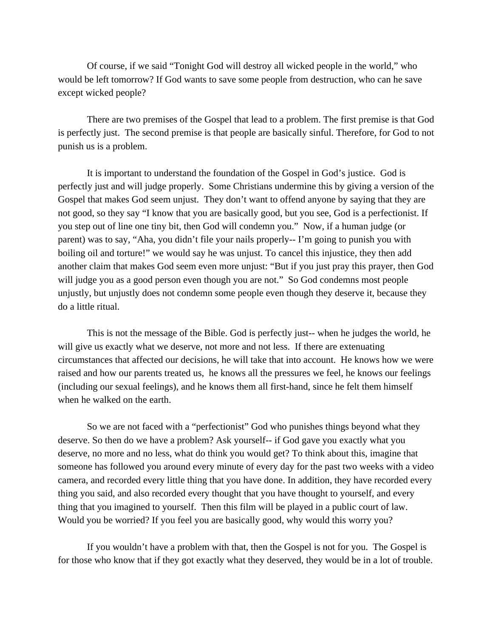Of course, if we said "Tonight God will destroy all wicked people in the world," who would be left tomorrow? If God wants to save some people from destruction, who can he save except wicked people?

There are two premises of the Gospel that lead to a problem. The first premise is that God is perfectly just. The second premise is that people are basically sinful. Therefore, for God to not punish us is a problem.

It is important to understand the foundation of the Gospel in God's justice. God is perfectly just and will judge properly. Some Christians undermine this by giving a version of the Gospel that makes God seem unjust. They don't want to offend anyone by saying that they are not good, so they say "I know that you are basically good, but you see, God is a perfectionist. If you step out of line one tiny bit, then God will condemn you." Now, if a human judge (or parent) was to say, "Aha, you didn't file your nails properly-- I'm going to punish you with boiling oil and torture!" we would say he was unjust. To cancel this injustice, they then add another claim that makes God seem even more unjust: "But if you just pray this prayer, then God will judge you as a good person even though you are not." So God condemns most people unjustly, but unjustly does not condemn some people even though they deserve it, because they do a little ritual.

This is not the message of the Bible. God is perfectly just-- when he judges the world, he will give us exactly what we deserve, not more and not less. If there are extenuating circumstances that affected our decisions, he will take that into account. He knows how we were raised and how our parents treated us, he knows all the pressures we feel, he knows our feelings (including our sexual feelings), and he knows them all first-hand, since he felt them himself when he walked on the earth.

So we are not faced with a "perfectionist" God who punishes things beyond what they deserve. So then do we have a problem? Ask yourself-- if God gave you exactly what you deserve, no more and no less, what do think you would get? To think about this, imagine that someone has followed you around every minute of every day for the past two weeks with a video camera, and recorded every little thing that you have done. In addition, they have recorded every thing you said, and also recorded every thought that you have thought to yourself, and every thing that you imagined to yourself. Then this film will be played in a public court of law. Would you be worried? If you feel you are basically good, why would this worry you?

If you wouldn't have a problem with that, then the Gospel is not for you. The Gospel is for those who know that if they got exactly what they deserved, they would be in a lot of trouble.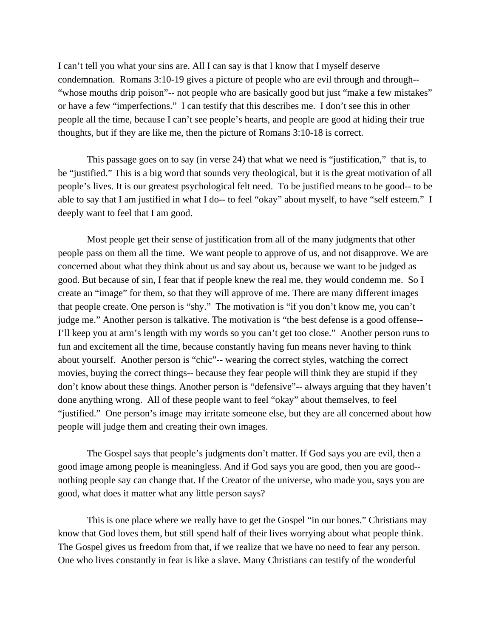I can't tell you what your sins are. All I can say is that I know that I myself deserve condemnation. Romans 3:10-19 gives a picture of people who are evil through and through--"whose mouths drip poison"-- not people who are basically good but just "make a few mistakes" or have a few "imperfections." I can testify that this describes me. I don't see this in other people all the time, because I can't see people's hearts, and people are good at hiding their true thoughts, but if they are like me, then the picture of Romans 3:10-18 is correct.

This passage goes on to say (in verse 24) that what we need is "justification," that is, to be "justified." This is a big word that sounds very theological, but it is the great motivation of all people's lives. It is our greatest psychological felt need. To be justified means to be good-- to be able to say that I am justified in what I do-- to feel "okay" about myself, to have "self esteem." I deeply want to feel that I am good.

Most people get their sense of justification from all of the many judgments that other people pass on them all the time. We want people to approve of us, and not disapprove. We are concerned about what they think about us and say about us, because we want to be judged as good. But because of sin, I fear that if people knew the real me, they would condemn me. So I create an "image" for them, so that they will approve of me. There are many different images that people create. One person is "shy." The motivation is "if you don't know me, you can't judge me." Another person is talkative. The motivation is "the best defense is a good offense-- I'll keep you at arm's length with my words so you can't get too close." Another person runs to fun and excitement all the time, because constantly having fun means never having to think about yourself. Another person is "chic"-- wearing the correct styles, watching the correct movies, buying the correct things-- because they fear people will think they are stupid if they don't know about these things. Another person is "defensive"-- always arguing that they haven't done anything wrong. All of these people want to feel "okay" about themselves, to feel "justified." One person's image may irritate someone else, but they are all concerned about how people will judge them and creating their own images.

The Gospel says that people's judgments don't matter. If God says you are evil, then a good image among people is meaningless. And if God says you are good, then you are good- nothing people say can change that. If the Creator of the universe, who made you, says you are good, what does it matter what any little person says?

This is one place where we really have to get the Gospel "in our bones." Christians may know that God loves them, but still spend half of their lives worrying about what people think. The Gospel gives us freedom from that, if we realize that we have no need to fear any person. One who lives constantly in fear is like a slave. Many Christians can testify of the wonderful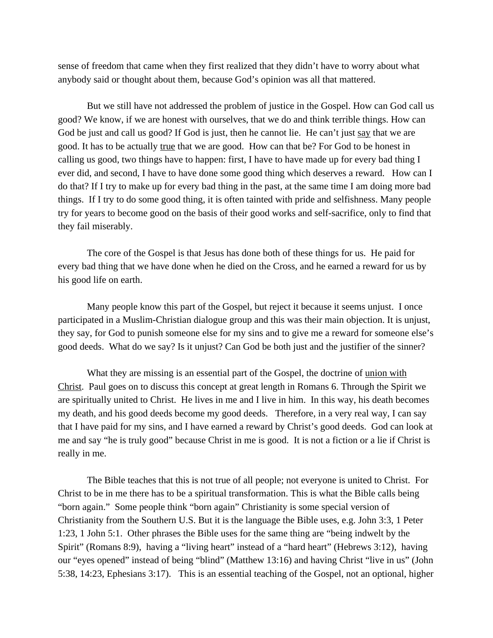sense of freedom that came when they first realized that they didn't have to worry about what anybody said or thought about them, because God's opinion was all that mattered.

But we still have not addressed the problem of justice in the Gospel. How can God call us good? We know, if we are honest with ourselves, that we do and think terrible things. How can God be just and call us good? If God is just, then he cannot lie. He can't just say that we are good. It has to be actually true that we are good. How can that be? For God to be honest in calling us good, two things have to happen: first, I have to have made up for every bad thing I ever did, and second, I have to have done some good thing which deserves a reward. How can I do that? If I try to make up for every bad thing in the past, at the same time I am doing more bad things. If I try to do some good thing, it is often tainted with pride and selfishness. Many people try for years to become good on the basis of their good works and self-sacrifice, only to find that they fail miserably.

The core of the Gospel is that Jesus has done both of these things for us. He paid for every bad thing that we have done when he died on the Cross, and he earned a reward for us by his good life on earth.

Many people know this part of the Gospel, but reject it because it seems unjust. I once participated in a Muslim-Christian dialogue group and this was their main objection. It is unjust, they say, for God to punish someone else for my sins and to give me a reward for someone else's good deeds. What do we say? Is it unjust? Can God be both just and the justifier of the sinner?

What they are missing is an essential part of the Gospel, the doctrine of union with Christ. Paul goes on to discuss this concept at great length in Romans 6. Through the Spirit we are spiritually united to Christ. He lives in me and I live in him. In this way, his death becomes my death, and his good deeds become my good deeds. Therefore, in a very real way, I can say that I have paid for my sins, and I have earned a reward by Christ's good deeds. God can look at me and say "he is truly good" because Christ in me is good. It is not a fiction or a lie if Christ is really in me.

The Bible teaches that this is not true of all people; not everyone is united to Christ. For Christ to be in me there has to be a spiritual transformation. This is what the Bible calls being "born again." Some people think "born again" Christianity is some special version of Christianity from the Southern U.S. But it is the language the Bible uses, e.g. John 3:3, 1 Peter 1:23, 1 John 5:1. Other phrases the Bible uses for the same thing are "being indwelt by the Spirit" (Romans 8:9), having a "living heart" instead of a "hard heart" (Hebrews 3:12), having our "eyes opened" instead of being "blind" (Matthew 13:16) and having Christ "live in us" (John 5:38, 14:23, Ephesians 3:17). This is an essential teaching of the Gospel, not an optional, higher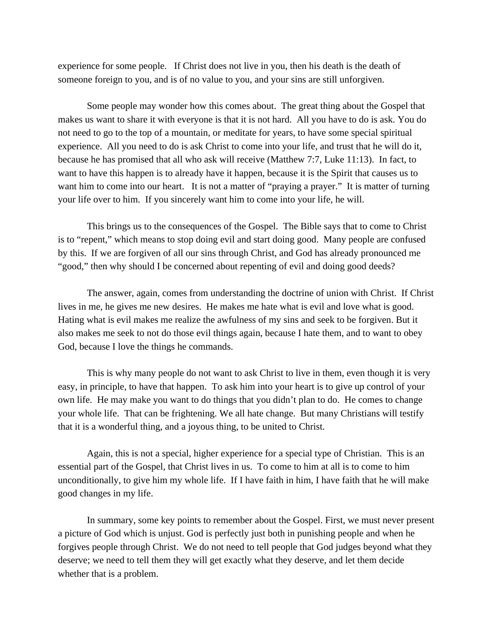experience for some people. If Christ does not live in you, then his death is the death of someone foreign to you, and is of no value to you, and your sins are still unforgiven.

Some people may wonder how this comes about. The great thing about the Gospel that makes us want to share it with everyone is that it is not hard. All you have to do is ask. You do not need to go to the top of a mountain, or meditate for years, to have some special spiritual experience. All you need to do is ask Christ to come into your life, and trust that he will do it, because he has promised that all who ask will receive (Matthew 7:7, Luke 11:13). In fact, to want to have this happen is to already have it happen, because it is the Spirit that causes us to want him to come into our heart. It is not a matter of "praying a prayer." It is matter of turning your life over to him. If you sincerely want him to come into your life, he will.

This brings us to the consequences of the Gospel. The Bible says that to come to Christ is to "repent," which means to stop doing evil and start doing good. Many people are confused by this. If we are forgiven of all our sins through Christ, and God has already pronounced me "good," then why should I be concerned about repenting of evil and doing good deeds?

The answer, again, comes from understanding the doctrine of union with Christ. If Christ lives in me, he gives me new desires. He makes me hate what is evil and love what is good. Hating what is evil makes me realize the awfulness of my sins and seek to be forgiven. But it also makes me seek to not do those evil things again, because I hate them, and to want to obey God, because I love the things he commands.

This is why many people do not want to ask Christ to live in them, even though it is very easy, in principle, to have that happen. To ask him into your heart is to give up control of your own life. He may make you want to do things that you didn't plan to do. He comes to change your whole life. That can be frightening. We all hate change. But many Christians will testify that it is a wonderful thing, and a joyous thing, to be united to Christ.

Again, this is not a special, higher experience for a special type of Christian. This is an essential part of the Gospel, that Christ lives in us. To come to him at all is to come to him unconditionally, to give him my whole life. If I have faith in him, I have faith that he will make good changes in my life.

In summary, some key points to remember about the Gospel. First, we must never present a picture of God which is unjust. God is perfectly just both in punishing people and when he forgives people through Christ. We do not need to tell people that God judges beyond what they deserve; we need to tell them they will get exactly what they deserve, and let them decide whether that is a problem.